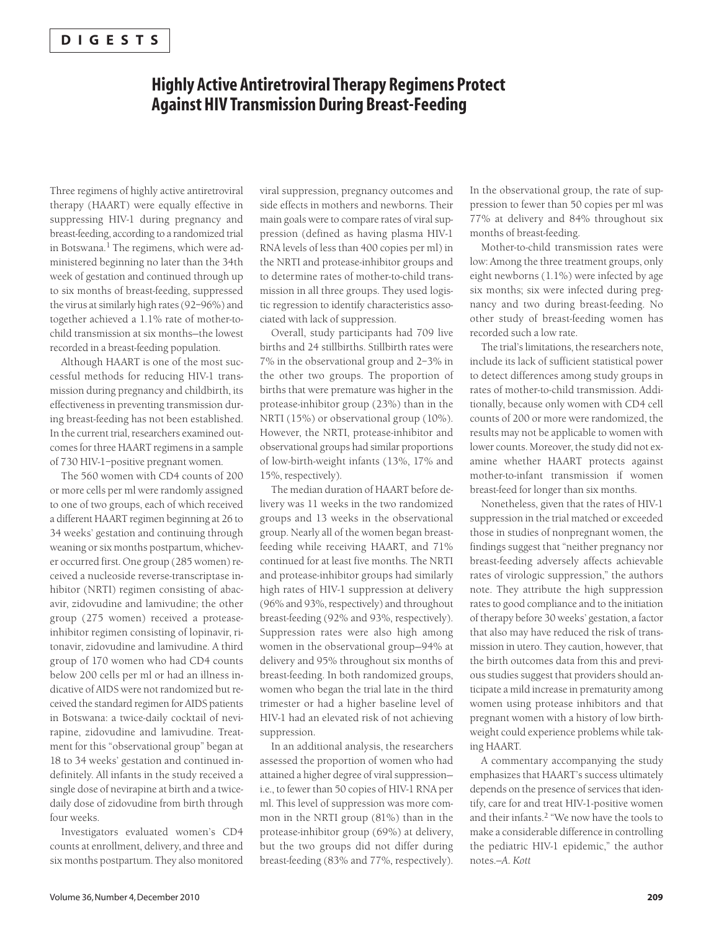### **Highly Active Antiretroviral Therapy Regimens Protect Against HIV Transmission During Breast-Feeding**

Three regimens of highly active antiretroviral therapy (HAART) were equally effective in suppressing HIV-1 during pregnancy and breast-feeding, according to a randomized trial in Botswana.<sup>1</sup> The regimens, which were administered beginning no later than the 34th week of gestation and continued through up to six months of breast-feeding, suppressed the virus at similarly high rates (92–96%) and together achieved a 1.1% rate of mother-tochild transmission at six months—the lowest recorded in a breast-feeding population.

Although HAART is one of the most successful methods for reducing HIV-1 transmission during pregnancy and childbirth, its effectiveness in preventing transmission during breast-feeding has not been established. In the current trial, researchers examined outcomes for three HAART regimens in a sample of 730 HIV-1–positive pregnant women.

The 560 women with CD4 counts of 200 or more cells per ml were randomly assigned to one of two groups, each of which received a different HAART regimen beginning at 26 to 34 weeks' gestation and continuing through weaning or six months postpartum, whichever occurred first. One group (285 women) received a nucleoside reverse-transcriptase inhibitor (NRTI) regimen consisting of abacavir, zidovudine and lamivudine; the other group (275 women) received a proteaseinhibitor regimen consisting of lopinavir, ritonavir, zidovudine and lamivudine. A third group of 170 women who had CD4 counts below 200 cells per ml or had an illness indicative of AIDS were not randomized but received the standard regimen for AIDS patients in Botswana: a twice-daily cocktail of nevirapine, zidovudine and lamivudine. Treatment for this "observational group" began at 18 to 34 weeks' gestation and continued indefinitely. All infants in the study received a single dose of nevirapine at birth and a twicedaily dose of zidovudine from birth through four weeks.

Investigators evaluated women's CD4 counts at enrollment, delivery, and three and six months postpartum. They also monitored viral suppression, pregnancy outcomes and side effects in mothers and newborns. Their main goals were to compare rates of viral suppression (defined as having plasma HIV-1 RNA levels of less than 400 copies per ml) in the NRTI and protease-inhibitor groups and to determine rates of mother-to-child transmission in all three groups. They used logistic regression to identify characteristics associated with lack of suppression.

Overall, study participants had 709 live births and 24 stillbirths. Stillbirth rates were 7% in the observational group and 2–3% in the other two groups. The proportion of births that were premature was higher in the protease-inhibitor group (23%) than in the NRTI (15%) or observational group (10%). However, the NRTI, protease-inhibitor and observational groups had similar proportions of low-birth-weight infants (13%, 17% and 15%, respectively).

The median duration of HAART before delivery was 11 weeks in the two randomized groups and 13 weeks in the observational group. Nearly all of the women began breastfeeding while receiving HAART, and 71% continued for at least five months. The NRTI and protease-inhibitor groups had similarly high rates of HIV-1 suppression at delivery (96% and 93%, respectively) and throughout breast-feeding (92% and 93%, respectively). Suppression rates were also high among women in the observational group—94% at delivery and 95% throughout six months of breast-feeding. In both randomized groups, women who began the trial late in the third trimester or had a higher baseline level of HIV-1 had an elevated risk of not achieving suppression.

In an additional analysis, the researchers assessed the proportion of women who had attained a higher degree of viral suppression i.e., to fewer than 50 copies of HIV-1 RNA per ml. This level of suppression was more common in the NRTI group (81%) than in the protease-inhibitor group (69%) at delivery, but the two groups did not differ during breast-feeding (83% and 77%, respectively). In the observational group, the rate of suppression to fewer than 50 copies per ml was 77% at delivery and 84% throughout six months of breast-feeding.

Mother-to-child transmission rates were low: Among the three treatment groups, only eight newborns (1.1%) were infected by age six months; six were infected during pregnancy and two during breast-feeding. No other study of breast-feeding women has recorded such a low rate.

The trial's limitations, the researchers note, include its lack of sufficient statistical power to detect differences among study groups in rates of mother-to-child transmission. Additionally, because only women with CD4 cell counts of 200 or more were randomized, the results may not be applicable to women with lower counts. Moreover, the study did not examine whether HAART protects against mother-to-infant transmission if women breast-feed for longer than six months.

Nonetheless, given that the rates of HIV-1 suppression in the trial matched or exceeded those in studies of nonpregnant women, the findings suggest that "neither pregnancy nor breast-feeding adversely affects achievable rates of virologic suppression," the authors note. They attribute the high suppression rates to good compliance and to the initiation of therapy before 30 weeks' gestation, a factor that also may have reduced the risk of transmission in utero. They caution, however, that the birth outcomes data from this and previous studies suggest that providers should anticipate a mild increase in prematurity among women using protease inhibitors and that pregnant women with a history of low birthweight could experience problems while taking HAART.

A commentary accompanying the study emphasizes that HAART's success ultimately depends on the presence of services that identify, care for and treat HIV-1-positive women and their infants.2 "We now have the tools to make a considerable difference in controlling the pediatric HIV-1 epidemic," the author notes.*—A. Kott*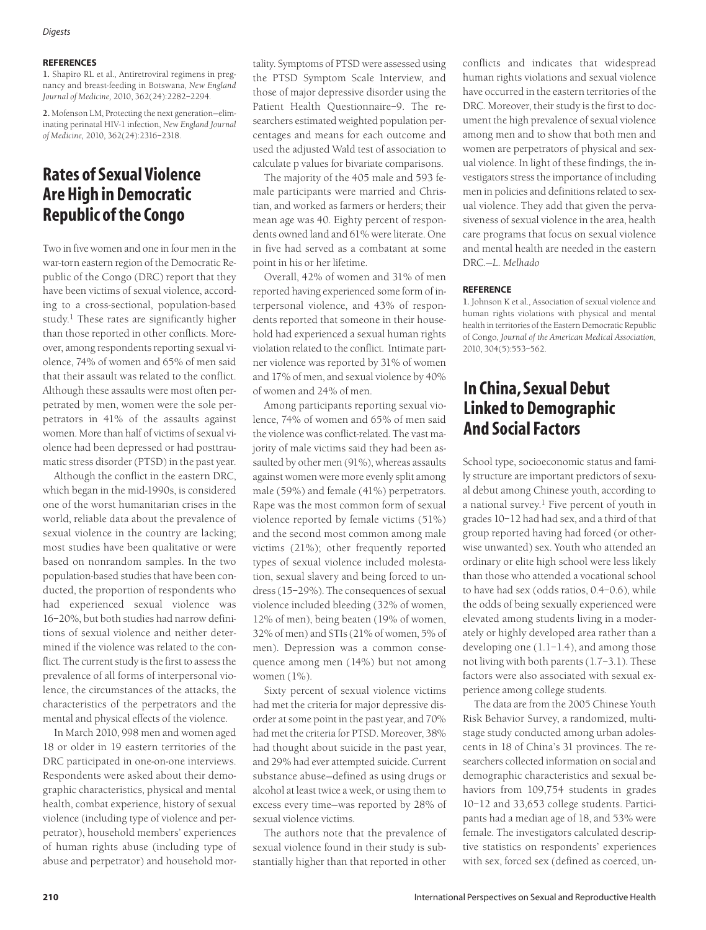### **REFERENCES**

**1.** Shapiro RL et al., Antiretroviral regimens in pregnancy and breast-feeding in Botswana, *New England Journal of Medicine,* 2010, 362(24):2282–2294.

**2.** Mofenson LM, Protecting the next generation—eliminating perinatal HIV-1 infection, *New England Journal of Medicine,* 2010, 362(24):2316–2318.

# **Rates of Sexual Violence Are High in Democratic Republic of the Congo**

Two in five women and one in four men in the war-torn eastern region of the Democratic Republic of the Congo (DRC) report that they have been victims of sexual violence, according to a cross-sectional, population-based study.<sup>1</sup> These rates are significantly higher than those reported in other conflicts. Moreover, among respondents reporting sexual violence, 74% of women and 65% of men said that their assault was related to the conflict. Although these assaults were most often perpetrated by men, women were the sole perpetrators in 41% of the assaults against women. More than half of victims of sexual violence had been depressed or had posttraumatic stress disorder (PTSD) in the past year.

Although the conflict in the eastern DRC, which began in the mid-1990s, is considered one of the worst humanitarian crises in the world, reliable data about the prevalence of sexual violence in the country are lacking; most studies have been qualitative or were based on nonrandom samples. In the two population-based studies that have been conducted, the proportion of respondents who had experienced sexual violence was 16–20%, but both studies had narrow definitions of sexual violence and neither determined if the violence was related to the conflict. The current study is the first to assess the prevalence of all forms of interpersonal violence, the circumstances of the attacks, the characteristics of the perpetrators and the mental and physical effects of the violence.

In March 2010, 998 men and women aged 18 or older in 19 eastern territories of the DRC participated in one-on-one interviews. Respondents were asked about their demographic characteristics, physical and mental health, combat experience, history of sexual violence (including type of violence and perpetrator), household members' experiences of human rights abuse (including type of abuse and perpetrator) and household mortality. Symptoms of PTSD were assessed using the PTSD Symptom Scale Interview, and those of major depressive disorder using the Patient Health Questionnaire–9. The researchers estimated weighted population percentages and means for each outcome and used the adjusted Wald test of association to calculate p values for bivariate comparisons.

The majority of the 405 male and 593 female participants were married and Christian, and worked as farmers or herders; their mean age was 40. Eighty percent of respondents owned land and 61% were literate. One in five had served as a combatant at some point in his or her lifetime.

Overall, 42% of women and 31% of men reported having experienced some form of interpersonal violence, and 43% of respondents reported that someone in their household had experienced a sexual human rights violation related to the conflict. Intimate partner violence was reported by 31% of women and 17% of men, and sexual violence by 40% of women and 24% of men.

Among participants reporting sexual violence, 74% of women and 65% of men said the violence was conflict-related. The vast majority of male victims said they had been assaulted by other men (91%), whereas assaults against women were more evenly split among male (59%) and female (41%) perpetrators. Rape was the most common form of sexual violence reported by female victims (51%) and the second most common among male victims (21%); other frequently reported types of sexual violence included molestation, sexual slavery and being forced to undress (15–29%). The consequences of sexual violence included bleeding (32% of women, 12% of men), being beaten (19% of women, 32% of men) and STIs (21% of women, 5% of men). Depression was a common consequence among men (14%) but not among women (1%).

Sixty percent of sexual violence victims had met the criteria for major depressive disorder at some point in the past year, and 70% had met the criteria for PTSD. Moreover, 38% had thought about suicide in the past year, and 29% had ever attempted suicide. Current substance abuse—defined as using drugs or alcohol at least twice a week, or using them to excess every time—was reported by 28% of sexual violence victims.

The authors note that the prevalence of sexual violence found in their study is substantially higher than that reported in other

conflicts and indicates that widespread human rights violations and sexual violence have occurred in the eastern territories of the DRC. Moreover, their study is the first to document the high prevalence of sexual violence among men and to show that both men and women are perpetrators of physical and sexual violence. In light of these findings, the investigators stress the importance of including men in policies and definitions related to sexual violence. They add that given the pervasiveness of sexual violence in the area, health care programs that focus on sexual violence and mental health are needed in the eastern DRC.—*L. Melhado*

### **REFERENCE**

**1.** Johnson K et al., Association of sexual violence and human rights violations with physical and mental health in territories of the Eastern Democratic Republic of Congo, *Journal of the American Medical Association,* 2010, 304(5):553–562.

# **In China, Sexual Debut Linked to Demographic And Social Factors**

School type, socioeconomic status and family structure are important predictors of sexual debut among Chinese youth, according to a national survey.<sup>1</sup> Five percent of youth in grades 10–12 had had sex, and a third of that group reported having had forced (or otherwise unwanted) sex. Youth who attended an ordinary or elite high school were less likely than those who attended a vocational school to have had sex (odds ratios, 0.4–0.6), while the odds of being sexually experienced were elevated among students living in a moderately or highly developed area rather than a developing one (1.1–1.4), and among those not living with both parents (1.7–3.1). These factors were also associated with sexual experience among college students.

The data are from the 2005 Chinese Youth Risk Behavior Survey, a randomized, multistage study conducted among urban adolescents in 18 of China's 31 provinces. The researchers collected information on social and demographic characteristics and sexual behaviors from 109,754 students in grades 10–12 and 33,653 college students. Participants had a median age of 18, and 53% were female. The investigators calculated descriptive statistics on respondents' experiences with sex, forced sex (defined as coerced, un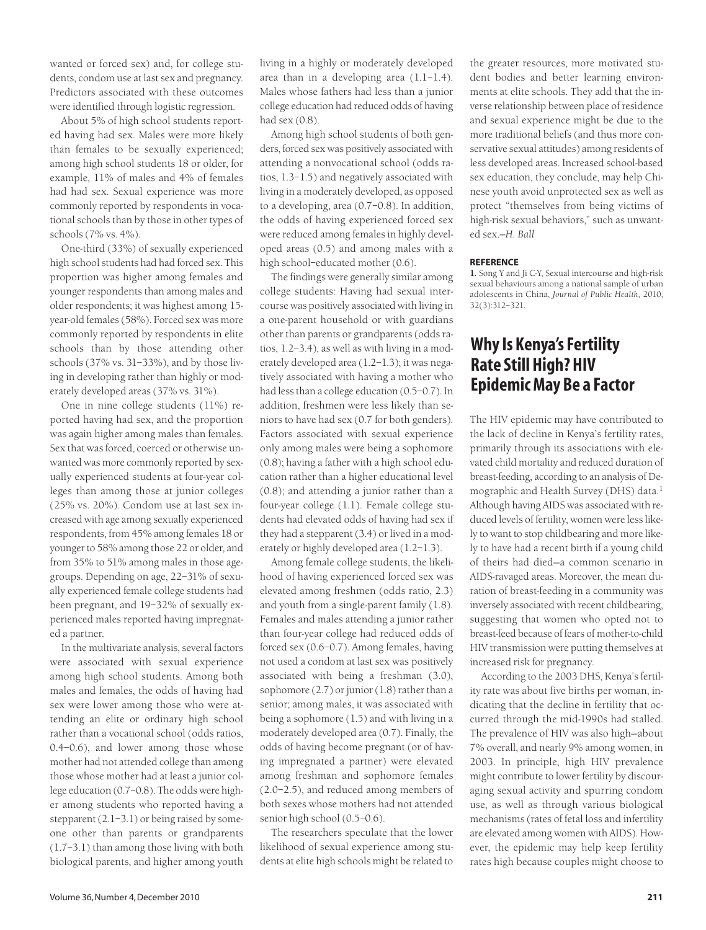wanted or forced sex) and, for college students, condom use at last sex and pregnancy. Predictors associated with these outcomes were identified through logistic regression.

About 5% of high school students reported having had sex. Males were more likely than females to be sexually experienced; among high school students 18 or older, for example, 11% of males and 4% of females had had sex. Sexual experience was more commonly reported by respondents in vocational schools than by those in other types of schools (7% vs. 4%).

One-third (33%) of sexually experienced high school students had had forced sex. This proportion was higher among females and younger respondents than among males and older respondents; it was highest among 15 year-old females (58%). Forced sex was more commonly reported by respondents in elite schools than by those attending other schools (37% vs. 31–33%), and by those living in developing rather than highly or moderately developed areas (37% vs. 31%).

One in nine college students (11%) reported having had sex, and the proportion was again higher among males than females. Sex that was forced, coerced or otherwise unwanted was more commonly reported by sexually experienced students at four-year colleges than among those at junior colleges (25% vs. 20%). Condom use at last sex increased with age among sexually experienced respondents, from 45% among females 18 or younger to 58% among those 22 or older, and from 35% to 51% among males in those agegroups. Depending on age, 22–31% of sexually experienced female college students had been pregnant, and 19–32% of sexually experienced males reported having impregnated a partner.

In the multivariate analysis, several factors were associated with sexual experience among high school students. Among both males and females, the odds of having had sex were lower among those who were attending an elite or ordinary high school rather than a vocational school (odds ratios, 0.4–0.6), and lower among those whose mother had not attended college than among those whose mother had at least a junior college education (0.7–0.8). The odds were higher among students who reported having a stepparent (2.1-3.1) or being raised by someone other than parents or grandparents (1.7–3.1) than among those living with both biological parents, and higher among youth living in a highly or moderately developed area than in a developing area (1.1–1.4). Males whose fathers had less than a junior college education had reduced odds of having had sex (0.8).

Among high school students of both genders, forced sex was positively associated with attending a nonvocational school (odds ratios, 1.3–1.5) and negatively associated with living in a moderately developed, as opposed to a developing, area (0.7–0.8). In addition, the odds of having experienced forced sex were reduced among females in highly developed areas (0.5) and among males with a high school–educated mother (0.6).

The findings were generally similar among college students: Having had sexual intercourse was positively associated with living in a one-parent household or with guardians other than parents or grandparents (odds ratios, 1.2–3.4), as well as with living in a moderately developed area (1.2–1.3); it was negatively associated with having a mother who had less than a college education (0.5–0.7). In addition, freshmen were less likely than seniors to have had sex (0.7 for both genders). Factors associated with sexual experience only among males were being a sophomore (0.8); having a father with a high school education rather than a higher educational level (0.8); and attending a junior rather than a four-year college (1.1). Female college students had elevated odds of having had sex if they had a stepparent (3.4) or lived in a moderately or highly developed area (1.2–1.3).

Among female college students, the likelihood of having experienced forced sex was elevated among freshmen (odds ratio, 2.3) and youth from a single-parent family (1.8). Females and males attending a junior rather than four-year college had reduced odds of forced sex (0.6–0.7). Among females, having not used a condom at last sex was positively associated with being a freshman (3.0), sophomore (2.7) or junior (1.8) rather than a senior; among males, it was associated with being a sophomore (1.5) and with living in a moderately developed area (0.7). Finally, the odds of having become pregnant (or of having impregnated a partner) were elevated among freshman and sophomore females (2.0–2.5), and reduced among members of both sexes whose mothers had not attended senior high school (0.5–0.6).

The researchers speculate that the lower likelihood of sexual experience among students at elite high schools might be related to the greater resources, more motivated student bodies and better learning environments at elite schools. They add that the inverse relationship between place of residence and sexual experience might be due to the more traditional beliefs (and thus more conservative sexual attitudes) among residents of less developed areas. Increased school-based sex education, they conclude, may help Chinese youth avoid unprotected sex as well as protect "themselves from being victims of high-risk sexual behaviors," such as unwanted sex.*—H. Ball*

### **REFERENCE**

**1.** Song Y and Ji C-Y, Sexual intercourse and high-risk sexual behaviours among a national sample of urban adolescents in China, *Journal of Public Health,* 2010, 32(3):312–321.

## **Why Is Kenya's Fertility Rate Still High? HIV Epidemic May Be a Factor**

The HIV epidemic may have contributed to the lack of decline in Kenya's fertility rates, primarily through its associations with elevated child mortality and reduced duration of breast-feeding, according to an analysis of Demographic and Health Survey (DHS) data.<sup>1</sup> Although having AIDS was associated with reduced levels of fertility, women were less likely to want to stop childbearing and more likely to have had a recent birth if a young child of theirs had died—a common scenario in AIDS-ravaged areas. Moreover, the mean duration of breast-feeding in a community was inversely associated with recent childbearing, suggesting that women who opted not to breast-feed because of fears of mother-to-child HIV transmission were putting themselves at increased risk for pregnancy.

According to the 2003 DHS, Kenya's fertility rate was about five births per woman, indicating that the decline in fertility that occurred through the mid-1990s had stalled. The prevalence of HIV was also high—about 7% overall, and nearly 9% among women, in 2003. In principle, high HIV prevalence might contribute to lower fertility by discouraging sexual activity and spurring condom use, as well as through various biological mechanisms (rates of fetal loss and infertility are elevated among women with AIDS). However, the epidemic may help keep fertility rates high because couples might choose to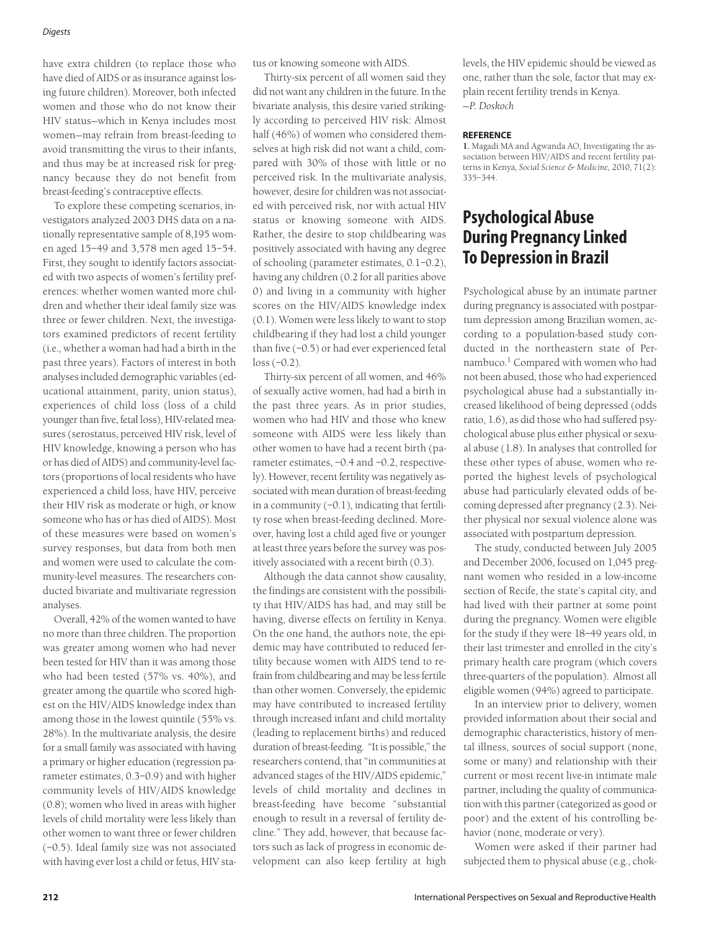#### *Digests*

have extra children (to replace those who have died of AIDS or as insurance against losing future children). Moreover, both infected women and those who do not know their HIV status—which in Kenya includes most women—may refrain from breast-feeding to avoid transmitting the virus to their infants, and thus may be at increased risk for pregnancy because they do not benefit from breast-feeding's contraceptive effects.

To explore these competing scenarios, investigators analyzed 2003 DHS data on a nationally representative sample of 8,195 women aged 15–49 and 3,578 men aged 15–54. First, they sought to identify factors associated with two aspects of women's fertility preferences: whether women wanted more children and whether their ideal family size was three or fewer children. Next, the investigators examined predictors of recent fertility (i.e., whether a woman had had a birth in the past three years). Factors of interest in both analyses included demographic variables (educational attainment, parity, union status), experiences of child loss (loss of a child younger than five, fetal loss), HIV-related measures (serostatus, perceived HIV risk, level of HIV knowledge, knowing a person who has or has died of AIDS) and community-level factors (proportions of local residents who have experienced a child loss, have HIV, perceive their HIV risk as moderate or high, or know someone who has or has died of AIDS). Most of these measures were based on women's survey responses, but data from both men and women were used to calculate the community-level measures. The researchers conducted bivariate and multivariate regression analyses.

Overall, 42% of the women wanted to have no more than three children. The proportion was greater among women who had never been tested for HIV than it was among those who had been tested (57% vs. 40%), and greater among the quartile who scored highest on the HIV/AIDS knowledge index than among those in the lowest quintile (55% vs. 28%). In the multivariate analysis, the desire for a small family was associated with having a primary or higher education (regression parameter estimates, 0.3–0.9) and with higher community levels of HIV/AIDS knowledge (0.8); women who lived in areas with higher levels of child mortality were less likely than other women to want three or fewer children (–0.5). Ideal family size was not associated with having ever lost a child or fetus, HIV status or knowing someone with AIDS.

Thirty-six percent of all women said they did not want any children in the future. In the bivariate analysis, this desire varied strikingly according to perceived HIV risk: Almost half (46%) of women who considered themselves at high risk did not want a child, compared with 30% of those with little or no perceived risk. In the multivariate analysis, however, desire for children was not associated with perceived risk, nor with actual HIV status or knowing someone with AIDS. Rather, the desire to stop childbearing was positively associated with having any degree of schooling (parameter estimates, 0.1–0.2), having any children (0.2 for all parities above 0) and living in a community with higher scores on the HIV/AIDS knowledge index (0.1). Women were less likely to want to stop childbearing if they had lost a child younger than five (–0.5) or had ever experienced fetal loss (–0.2).

Thirty-six percent of all women, and 46% of sexually active women, had had a birth in the past three years. As in prior studies, women who had HIV and those who knew someone with AIDS were less likely than other women to have had a recent birth (parameter estimates, –0.4 and –0.2, respectively). However, recent fertility was negatively associated with mean duration of breast-feeding in a community  $(-0.1)$ , indicating that fertility rose when breast-feeding declined. Moreover, having lost a child aged five or younger at least three years before the survey was positively associated with a recent birth (0.3).

Although the data cannot show causality, the findings are consistent with the possibility that HIV/AIDS has had, and may still be having, diverse effects on fertility in Kenya. On the one hand, the authors note, the epidemic may have contributed to reduced fertility because women with AIDS tend to refrain from childbearing and may be less fertile than other women. Conversely, the epidemic may have contributed to increased fertility through increased infant and child mortality (leading to replacement births) and reduced duration of breast-feeding. "It is possible," the researchers contend, that "in communities at advanced stages of the HIV/AIDS epidemic," levels of child mortality and declines in breast-feeding have become "substantial enough to result in a reversal of fertility decline." They add, however, that because factors such as lack of progress in economic development can also keep fertility at high

levels, the HIV epidemic should be viewed as one, rather than the sole, factor that may explain recent fertility trends in Kenya. —*P. Doskoch*

#### **REFERENCE**

**1.** Magadi MA and Agwanda AO, Investigating the association between HIV/AIDS and recent fertility patterns in Kenya, *Social Science & Medicine,* 2010, 71(2): 335–344.

# **Psychological Abuse During Pregnancy Linked To Depression in Brazil**

Psychological abuse by an intimate partner during pregnancy is associated with postpartum depression among Brazilian women, according to a population-based study conducted in the northeastern state of Pernambuco.<sup>1</sup> Compared with women who had not been abused, those who had experienced psychological abuse had a substantially increased likelihood of being depressed (odds ratio, 1.6), as did those who had suffered psychological abuse plus either physical or sexual abuse (1.8). In analyses that controlled for these other types of abuse, women who reported the highest levels of psychological abuse had particularly elevated odds of becoming depressed after pregnancy (2.3). Neither physical nor sexual violence alone was associated with postpartum depression.

The study, conducted between July 2005 and December 2006, focused on 1,045 pregnant women who resided in a low-income section of Recife, the state's capital city, and had lived with their partner at some point during the pregnancy. Women were eligible for the study if they were 18–49 years old, in their last trimester and enrolled in the city's primary health care program (which covers three-quarters of the population). Almost all eligible women (94%) agreed to participate.

In an interview prior to delivery, women provided information about their social and demographic characteristics, history of mental illness, sources of social support (none, some or many) and relationship with their current or most recent live-in intimate male partner, including the quality of communication with this partner (categorized as good or poor) and the extent of his controlling behavior (none, moderate or very).

Women were asked if their partner had subjected them to physical abuse (e.g., chok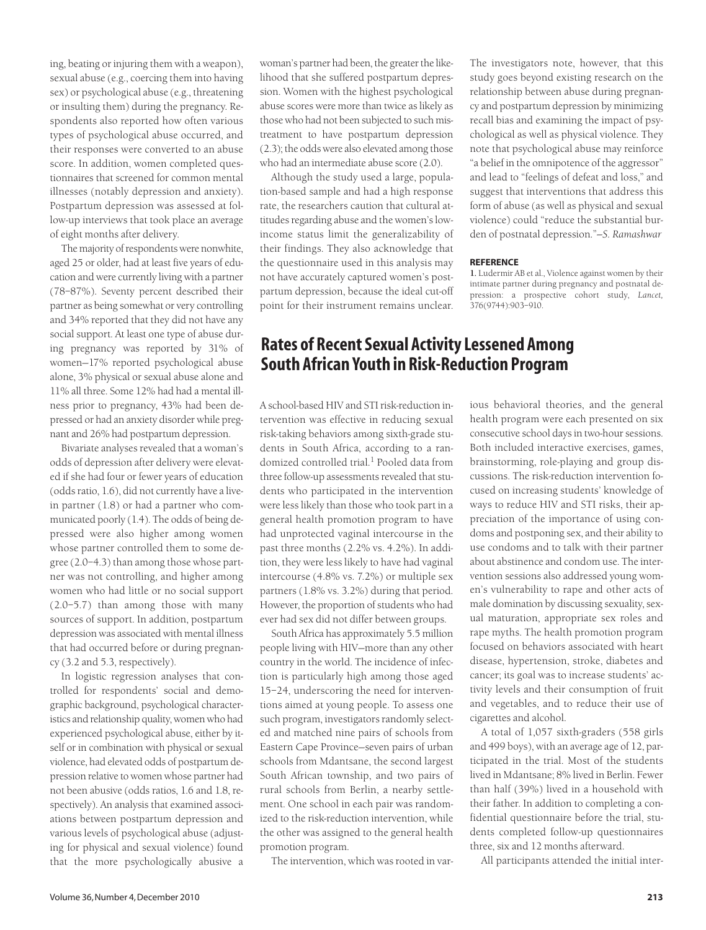ing, beating or injuring them with a weapon), sexual abuse (e.g., coercing them into having sex) or psychological abuse (e.g., threatening or insulting them) during the pregnancy. Respondents also reported how often various types of psychological abuse occurred, and their responses were converted to an abuse score. In addition, women completed questionnaires that screened for common mental illnesses (notably depression and anxiety). Postpartum depression was assessed at follow-up interviews that took place an average of eight months after delivery.

The majority of respondents were nonwhite, aged 25 or older, had at least five years of education and were currently living with a partner (78–87%). Seventy percent described their partner as being somewhat or very controlling and 34% reported that they did not have any social support. At least one type of abuse during pregnancy was reported by 31% of women—17% reported psychological abuse alone, 3% physical or sexual abuse alone and 11% all three. Some 12% had had a mental illness prior to pregnancy, 43% had been depressed or had an anxiety disorder while pregnant and 26% had postpartum depression.

Bivariate analyses revealed that a woman's odds of depression after delivery were elevated if she had four or fewer years of education (odds ratio, 1.6), did not currently have a livein partner (1.8) or had a partner who communicated poorly (1.4). The odds of being depressed were also higher among women whose partner controlled them to some degree (2.0–4.3) than among those whose partner was not controlling, and higher among women who had little or no social support (2.0–5.7) than among those with many sources of support. In addition, postpartum depression was associated with mental illness that had occurred before or during pregnancy (3.2 and 5.3, respectively).

In logistic regression analyses that controlled for respondents' social and demographic background, psychological characteristics and relationship quality, women who had experienced psychological abuse, either by itself or in combination with physical or sexual violence, had elevated odds of postpartum depression relative to women whose partner had not been abusive (odds ratios, 1.6 and 1.8, respectively). An analysis that examined associations between postpartum depression and various levels of psychological abuse (adjusting for physical and sexual violence) found that the more psychologically abusive a

woman's partner had been, the greater the likelihood that she suffered postpartum depression. Women with the highest psychological abuse scores were more than twice as likely as those who had not been subjected to such mistreatment to have postpartum depression (2.3); the odds were also elevated among those who had an intermediate abuse score (2.0).

Although the study used a large, population-based sample and had a high response rate, the researchers caution that cultural attitudes regarding abuse and the women's lowincome status limit the generalizability of their findings. They also acknowledge that the questionnaire used in this analysis may not have accurately captured women's postpartum depression, because the ideal cut-off point for their instrument remains unclear. The investigators note, however, that this study goes beyond existing research on the relationship between abuse during pregnancy and postpartum depression by minimizing recall bias and examining the impact of psychological as well as physical violence. They note that psychological abuse may reinforce "a belief in the omnipotence of the aggressor" and lead to "feelings of defeat and loss," and suggest that interventions that address this form of abuse (as well as physical and sexual violence) could "reduce the substantial burden of postnatal depression."*—S. Ramashwar*

### **REFERENCE**

**1.** Ludermir AB et al., Violence against women by their intimate partner during pregnancy and postnatal depression: a prospective cohort study, *Lancet,* 376(9744):903–910.

## **Rates of Recent Sexual Activity Lessened Among South African Youth in Risk-Reduction Program**

A school-based HIV and STI risk-reduction intervention was effective in reducing sexual risk-taking behaviors among sixth-grade students in South Africa, according to a randomized controlled trial.<sup>1</sup> Pooled data from three follow-up assessments revealed that students who participated in the intervention were less likely than those who took part in a general health promotion program to have had unprotected vaginal intercourse in the past three months (2.2% vs. 4.2%). In addition, they were less likely to have had vaginal intercourse (4.8% vs. 7.2%) or multiple sex partners (1.8% vs. 3.2%) during that period. However, the proportion of students who had ever had sex did not differ between groups.

South Africa has approximately 5.5 million people living with HIV—more than any other country in the world. The incidence of infection is particularly high among those aged 15–24, underscoring the need for interventions aimed at young people. To assess one such program, investigators randomly selected and matched nine pairs of schools from Eastern Cape Province—seven pairs of urban schools from Mdantsane, the second largest South African township, and two pairs of rural schools from Berlin, a nearby settlement. One school in each pair was randomized to the risk-reduction intervention, while the other was assigned to the general health promotion program.

The intervention, which was rooted in var-

ious behavioral theories, and the general health program were each presented on six consecutive school days in two-hour sessions. Both included interactive exercises, games, brainstorming, role-playing and group discussions. The risk-reduction intervention focused on increasing students' knowledge of ways to reduce HIV and STI risks, their appreciation of the importance of using condoms and postponing sex, and their ability to use condoms and to talk with their partner about abstinence and condom use. The intervention sessions also addressed young women's vulnerability to rape and other acts of male domination by discussing sexuality, sexual maturation, appropriate sex roles and rape myths. The health promotion program focused on behaviors associated with heart disease, hypertension, stroke, diabetes and cancer; its goal was to increase students' activity levels and their consumption of fruit and vegetables, and to reduce their use of cigarettes and alcohol.

A total of 1,057 sixth-graders (558 girls and 499 boys), with an average age of 12, participated in the trial. Most of the students lived in Mdantsane; 8% lived in Berlin. Fewer than half (39%) lived in a household with their father. In addition to completing a confidential questionnaire before the trial, students completed follow-up questionnaires three, six and 12 months afterward.

All participants attended the initial inter-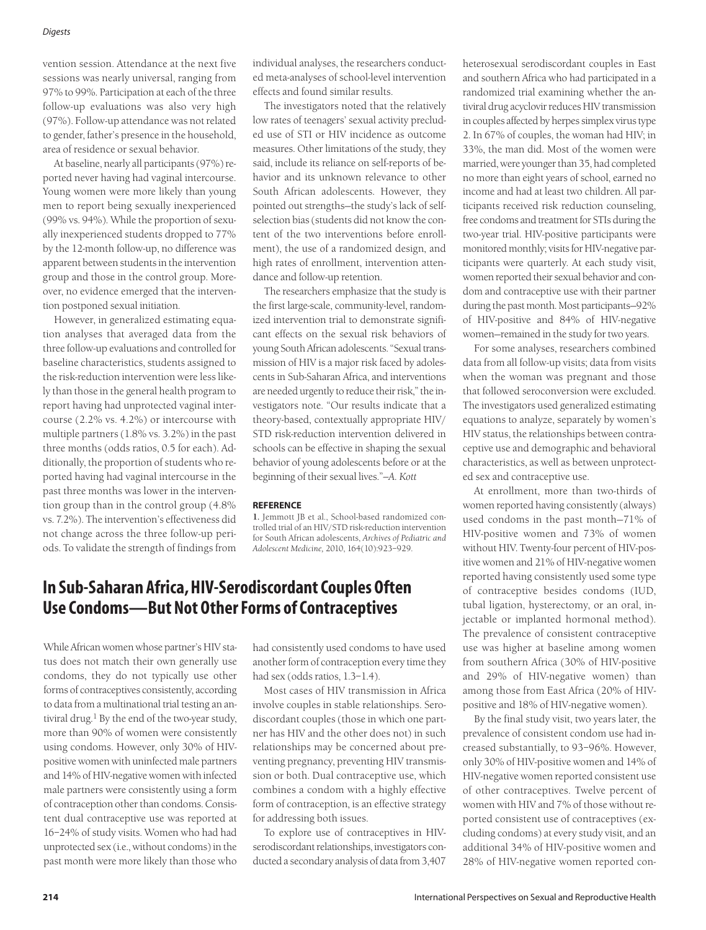#### *Digests*

vention session. Attendance at the next five sessions was nearly universal, ranging from 97% to 99%. Participation at each of the three follow-up evaluations was also very high (97%). Follow-up attendance was not related to gender, father's presence in the household, area of residence or sexual behavior.

At baseline, nearly all participants (97%) reported never having had vaginal intercourse. Young women were more likely than young men to report being sexually inexperienced (99% vs. 94%). While the proportion of sexually inexperienced students dropped to 77% by the 12-month follow-up, no difference was apparent between students in the intervention group and those in the control group. Moreover, no evidence emerged that the intervention postponed sexual initiation.

However, in generalized estimating equation analyses that averaged data from the three follow-up evaluations and controlled for baseline characteristics, students assigned to the risk-reduction intervention were less likely than those in the general health program to report having had unprotected vaginal intercourse (2.2% vs. 4.2%) or intercourse with multiple partners (1.8% vs. 3.2%) in the past three months (odds ratios, 0.5 for each). Additionally, the proportion of students who reported having had vaginal intercourse in the past three months was lower in the intervention group than in the control group (4.8% vs. 7.2%). The intervention's effectiveness did not change across the three follow-up periods. To validate the strength of findings from

individual analyses, the researchers conducted meta-analyses of school-level intervention effects and found similar results.

The investigators noted that the relatively low rates of teenagers' sexual activity precluded use of STI or HIV incidence as outcome measures. Other limitations of the study, they said, include its reliance on self-reports of behavior and its unknown relevance to other South African adolescents. However, they pointed out strengths—the study's lack of selfselection bias (students did not know the content of the two interventions before enrollment), the use of a randomized design, and high rates of enrollment, intervention attendance and follow-up retention.

The researchers emphasize that the study is the first large-scale, community-level, randomized intervention trial to demonstrate significant effects on the sexual risk behaviors of young South African adolescents. "Sexual transmission of HIV is a major risk faced by adolescents in Sub-Saharan Africa, and interventions are needed urgently to reduce their risk," the investigators note. "Our results indicate that a theory-based, contextually appropriate HIV/ STD risk-reduction intervention delivered in schools can be effective in shaping the sexual behavior of young adolescents before or at the beginning of their sexual lives."*—A. Kott*

#### **REFERENCE**

**1.** Jemmott JB et al., School-based randomized controlled trial of an HIV/STD risk-reduction intervention for South African adolescents, *Archives of Pediatric and Adolescent Medicine,* 2010, 164(10):923–929.

### **In Sub-Saharan Africa, HIV-Serodiscordant Couples Often Use Condoms—But Not Other Forms of Contraceptives**

While African women whose partner's HIV status does not match their own generally use condoms, they do not typically use other forms of contraceptives consistently, according to data from a multinational trial testing an antiviral drug.<sup>1</sup> By the end of the two-year study, more than 90% of women were consistently using condoms. However, only 30% of HIVpositive women with uninfected male partners and 14% of HIV-negative women with infected male partners were consistently using a form of contraception other than condoms. Consistent dual contraceptive use was reported at 16–24% of study visits. Women who had had unprotected sex (i.e., without condoms) in the past month were more likely than those who had consistently used condoms to have used another form of contraception every time they had sex (odds ratios, 1.3–1.4).

Most cases of HIV transmission in Africa involve couples in stable relationships. Serodiscordant couples (those in which one partner has HIV and the other does not) in such relationships may be concerned about preventing pregnancy, preventing HIV transmission or both. Dual contraceptive use, which combines a condom with a highly effective form of contraception, is an effective strategy for addressing both issues.

To explore use of contraceptives in HIVserodiscordant relationships, investigators conducted a secondary analysis of data from 3,407 heterosexual serodiscordant couples in East and southern Africa who had participated in a randomized trial examining whether the antiviral drug acyclovir reduces HIV transmission in couples affected by herpes simplex virus type 2. In 67% of couples, the woman had HIV; in 33%, the man did. Most of the women were married, were younger than 35, had completed no more than eight years of school, earned no income and had at least two children. All participants received risk reduction counseling, free condoms and treatment for STIs during the two-year trial. HIV-positive participants were monitored monthly; visits for HIV-negative participants were quarterly. At each study visit, women reported their sexual behavior and condom and contraceptive use with their partner during the past month. Most participants—92% of HIV-positive and 84% of HIV-negative women—remained in the study for two years.

For some analyses, researchers combined data from all follow-up visits; data from visits when the woman was pregnant and those that followed seroconversion were excluded. The investigators used generalized estimating equations to analyze, separately by women's HIV status, the relationships between contraceptive use and demographic and behavioral characteristics, as well as between unprotected sex and contraceptive use.

At enrollment, more than two-thirds of women reported having consistently (always) used condoms in the past month—71% of HIV-positive women and 73% of women without HIV. Twenty-four percent of HIV-positive women and 21% of HIV-negative women reported having consistently used some type of contraceptive besides condoms (IUD, tubal ligation, hysterectomy, or an oral, injectable or implanted hormonal method). The prevalence of consistent contraceptive use was higher at baseline among women from southern Africa (30% of HIV-positive and 29% of HIV-negative women) than among those from East Africa (20% of HIVpositive and 18% of HIV-negative women).

By the final study visit, two years later, the prevalence of consistent condom use had increased substantially, to 93–96%. However, only 30% of HIV-positive women and 14% of HIV-negative women reported consistent use of other contraceptives. Twelve percent of women with HIV and 7% of those without reported consistent use of contraceptives (excluding condoms) at every study visit, and an additional 34% of HIV-positive women and 28% of HIV-negative women reported con